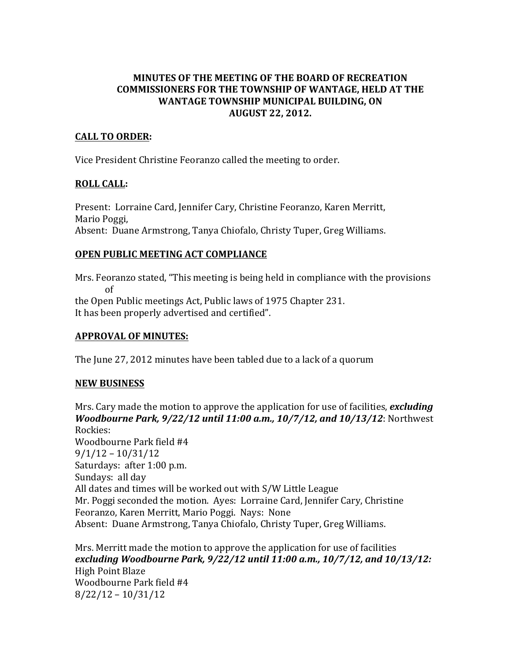# **MINUTES OF THE MEETING OF THE BOARD OF RECREATION COMMISSIONERS FOR THE TOWNSHIP OF WANTAGE, HELD AT THE WANTAGE TOWNSHIP MUNICIPAL BUILDING, ON AUGUST 22, 2012.**

### **CALL(TO(ORDER:**

Vice President Christine Feoranzo called the meeting to order.

### **ROLL CALL:**

Present: Lorraine Card, Jennifer Cary, Christine Feoranzo, Karen Merritt, Mario Poggi, Absent: Duane Armstrong, Tanya Chiofalo, Christy Tuper, Greg Williams.

## **OPEN PUBLIC MEETING ACT COMPLIANCE**

Mrs. Feoranzo stated, "This meeting is being held in compliance with the provisions" of the Open Public meetings Act, Public laws of 1975 Chapter 231. It has been properly advertised and certified".

### **APPROVAL OF MINUTES:**

The June 27, 2012 minutes have been tabled due to a lack of a quorum

## **NEW(BUSINESS**

Mrs. Cary made the motion to approve the application for use of facilities, *excluding Woodbourne Park, 9/22/12 until 11:00 a.m., 10/7/12, and 10/13/12: Northwest* Rockies: Woodbourne Park field #4  $9/1/12 - 10/31/12$ Saturdays: after 1:00 p.m. Sundays: all day All dates and times will be worked out with  $S/W$  Little League Mr. Poggi seconded the motion. Ayes: Lorraine Card, Jennifer Cary, Christine Feoranzo, Karen Merritt, Mario Poggi. Nays: None Absent: Duane Armstrong, Tanya Chiofalo, Christy Tuper, Greg Williams.

Mrs. Merritt made the motion to approve the application for use of facilities *excluding\*Woodbourne\*Park,\*9/22/12\*until\*11:00\*a.m.,\*10/7/12,\*and\*10/13/12:\*\** High!Point!Blaze Woodbourne Park field #4  $8/22/12 - 10/31/12$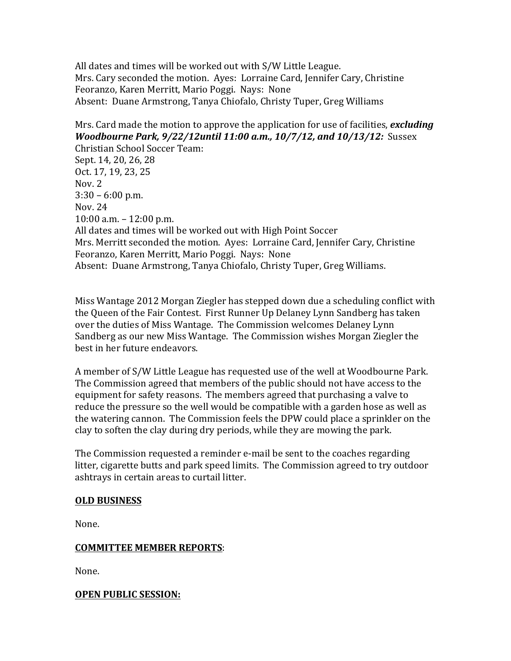All dates and times will be worked out with S/W Little League. Mrs. Cary seconded the motion. Ayes: Lorraine Card, Jennifer Cary, Christine Feoranzo, Karen Merritt, Mario Poggi. Nays: None Absent: Duane Armstrong, Tanya Chiofalo, Christy Tuper, Greg Williams

#### Mrs. Card made the motion to approve the application for use of facilities, *excluding Woodbourne Park, 9/22/12until 11:00 a.m., 10/7/12, and 10/13/12: Sussex* Christian School Soccer Team:

Sept. 14, 20, 26, 28 Oct. 17, 19, 23, 25 Nov. 2  $3:30 - 6:00$  p.m. Nov. 24  $10:00$  a.m.  $- 12:00$  p.m. All dates and times will be worked out with High Point Soccer Mrs. Merritt seconded the motion. Ayes: Lorraine Card, Jennifer Cary, Christine Feoranzo, Karen Merritt, Mario Poggi. Nays: None Absent: Duane Armstrong, Tanya Chiofalo, Christy Tuper, Greg Williams.

Miss Wantage 2012 Morgan Ziegler has stepped down due a scheduling conflict with the Queen of the Fair Contest. First Runner Up Delaney Lynn Sandberg has taken over the duties of Miss Wantage. The Commission welcomes Delaney Lynn Sandberg as our new Miss Wantage. The Commission wishes Morgan Ziegler the best in her future endeavors.

A member of S/W Little League has requested use of the well at Woodbourne Park. The Commission agreed that members of the public should not have access to the equipment for safety reasons. The members agreed that purchasing a valve to reduce the pressure so the well would be compatible with a garden hose as well as the watering cannon. The Commission feels the DPW could place a sprinkler on the clay to soften the clay during dry periods, while they are mowing the park.

The Commission requested a reminder e-mail be sent to the coaches regarding litter, cigarette butts and park speed limits. The Commission agreed to try outdoor ashtrays in certain areas to curtail litter.

## **OLD BUSINESS**

None.

## **COMMITTEE MEMBER REPORTS:**

None.

#### **OPEN PUBLIC SESSION:**